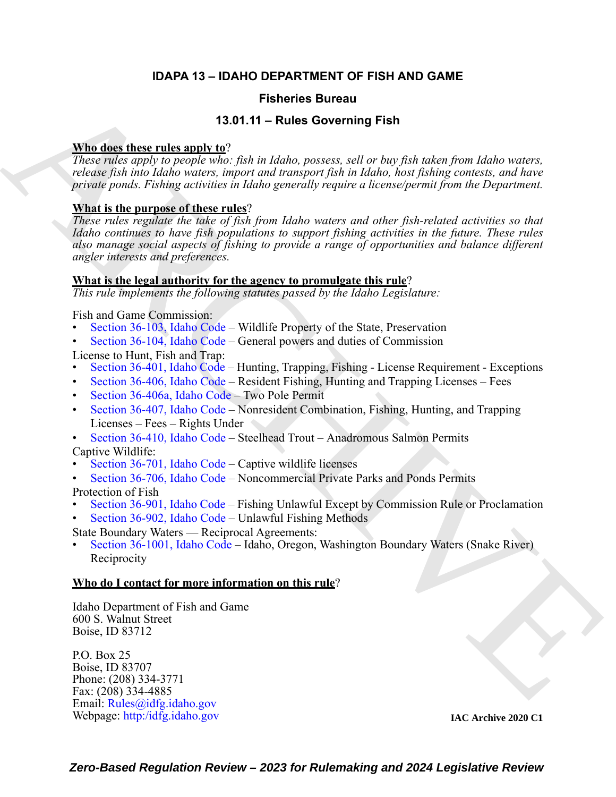# **IDAPA 13 – IDAHO DEPARTMENT OF FISH AND GAME**

# **Fisheries Bureau**

# **13.01.11 – Rules Governing Fish**

# **Who does these rules apply to**?

*These rules apply to people who: fish in Idaho, possess, sell or buy fish taken from Idaho waters, release fish into Idaho waters, import and transport fish in Idaho, host fishing contests, and have private ponds. Fishing activities in Idaho generally require a license/permit from the Department.*

### **What is the purpose of these rules**?

**Fisheries Bureau (1971)** Fisheries Bureau (1971)<br>
1970.11 - [R](https://legislature.idaho.gov/statutesrules/idstat/Title36/T36CH1/SECT36-103/)uise Governing Fish<br>
2001.11 - Ruise [C](https://legislature.idaho.gov/statutesrules/idstat/Title36/T36CH4/SECT36-406A/)overning Fish<br>
2001.<br>
Tower place the computer of the place of the place of the place of the computer of the place of the *These rules regulate the take of fish from Idaho waters and other fish-related activities so that Idaho continues to have fish populations to support fishing activities in the future. These rules also manage social aspects of fishing to provide a range of opportunities and balance different angler interests and preferences.*

# **What is the legal authority for the agency to promulgate this rule**?

*This rule implements the following statutes passed by the Idaho Legislature:*

Fish and Game Commission:

- Section 36-103, Idaho Code Wildlife Property of the State, Preservation
- Section 36-104, Idaho Code General powers and duties of Commission

License to Hunt, Fish and Trap:

- Section 36-401, Idaho Code Hunting, Trapping, Fishing License Requirement Exceptions
- Section 36-406, Idaho Code Resident Fishing, Hunting and Trapping Licenses Fees
- Section 36-406a, Idaho Code Two Pole Permit
- Section 36-407, Idaho Code Nonresident Combination, Fishing, Hunting, and Trapping Licenses – Fees – Rights Under
- Section 36-410, Idaho Code Steelhead Trout Anadromous Salmon Permits Captive Wildlife:
- Section 36-701, Idaho Code Captive wildlife licenses
- Section 36-706, Idaho Code Noncommercial Private Parks and Ponds Permits

Protection of Fish

- Section 36-901, Idaho Code Fishing Unlawful Except by Commission Rule or Proclamation
- Section 36-902, Idaho Code Unlawful Fishing Methods
- State Boundary Waters Reciprocal Agreements:
- Section 36-1001, Idaho Code Idaho, Oregon, Washington Boundary Waters (Snake River) **Reciprocity**

#### **Who do I contact for more information on this rule**?

Idaho Department of Fish and Game 600 S. Walnut Street Boise, ID 83712

P.O. Box 25 Boise, ID 83707 Phone: (208) 334-3771 Fax: (208) 334-4885 Email: Rules@idfg.idaho.gov Webpage: [http:/idfg.idaho.gov](https://idfg.idaho.gov)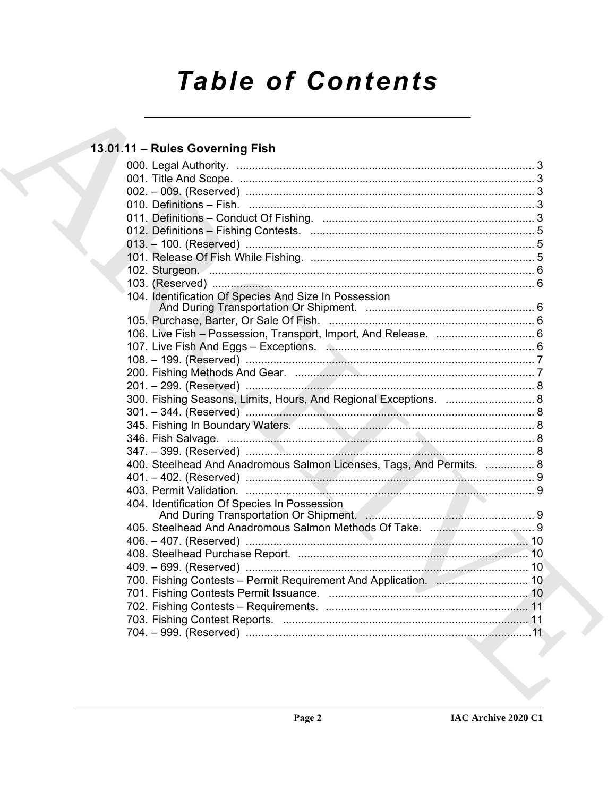# **Table of Contents**

# 13.01.11 - Rules Governing Fish

|  | 104. Identification Of Species And Size In Possession                |  |
|--|----------------------------------------------------------------------|--|
|  |                                                                      |  |
|  |                                                                      |  |
|  |                                                                      |  |
|  |                                                                      |  |
|  |                                                                      |  |
|  |                                                                      |  |
|  | 300. Fishing Seasons, Limits, Hours, And Regional Exceptions.  8     |  |
|  |                                                                      |  |
|  |                                                                      |  |
|  |                                                                      |  |
|  |                                                                      |  |
|  | 400. Steelhead And Anadromous Salmon Licenses, Tags, And Permits.  8 |  |
|  |                                                                      |  |
|  |                                                                      |  |
|  | 404. Identification Of Species In Possession                         |  |
|  |                                                                      |  |
|  |                                                                      |  |
|  |                                                                      |  |
|  |                                                                      |  |
|  | 700. Fishing Contests - Permit Requirement And Application.  10      |  |
|  |                                                                      |  |
|  |                                                                      |  |
|  |                                                                      |  |
|  |                                                                      |  |
|  |                                                                      |  |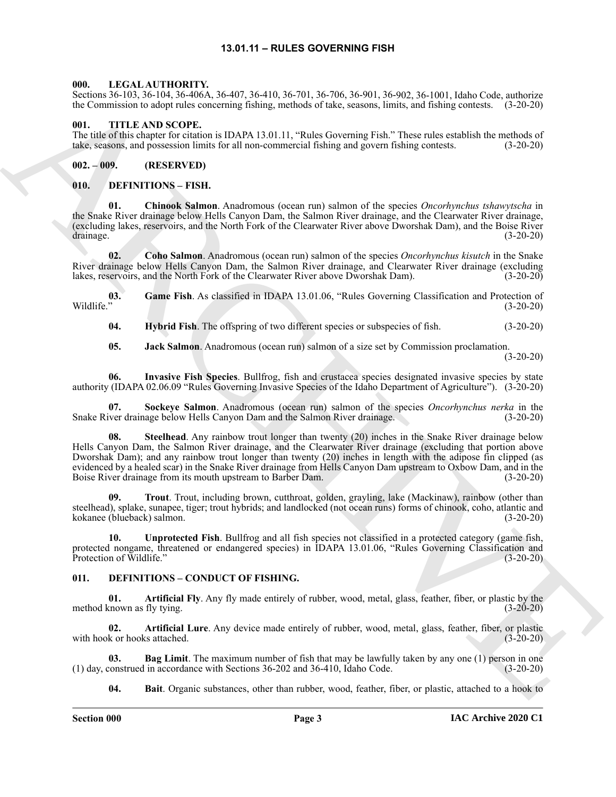#### **13.01.11 – RULES GOVERNING FISH**

#### <span id="page-2-22"></span><span id="page-2-1"></span><span id="page-2-0"></span>**000. LEGAL AUTHORITY.**

Sections 36-103, 36-104, 36-406A, 36-407, 36-410, 36-701, 36-706, 36-901, 36-902, 36-1001, Idaho Code, authorize the Commission to adopt rules concerning fishing, methods of take, seasons, limits, and fishing contests. (3-20-20)

#### <span id="page-2-23"></span><span id="page-2-2"></span>**001. TITLE AND SCOPE.**

The title of this chapter for citation is IDAPA 13.01.11, "Rules Governing Fish." These rules establish the methods of take, seasons, and possession limits for all non-commercial fishing and govern fishing contests. (3-20-20)

#### <span id="page-2-3"></span>**002. – 009. (RESERVED)**

#### <span id="page-2-11"></span><span id="page-2-4"></span>**010. DEFINITIONS – FISH.**

<span id="page-2-12"></span>**01. Chinook Salmon**. Anadromous (ocean run) salmon of the species *Oncorhynchus tshawytscha* in the Snake River drainage below Hells Canyon Dam, the Salmon River drainage, and the Clearwater River drainage, (excluding lakes, reservoirs, and the North Fork of the Clearwater River above Dworshak Dam), and the Boise River drainage. (3-20-20)

<span id="page-2-13"></span>**02. Coho Salmon**. Anadromous (ocean run) salmon of the species *Oncorhynchus kisutch* in the Snake River drainage below Hells Canyon Dam, the Salmon River drainage, and Clearwater River drainage (excluding lakes, reservoirs, and the North Fork of the Clearwater River above Dworshak Dam). (3-20-20) lakes, reservoirs, and the North Fork of the Clearwater River above Dworshak Dam).

**03.** Game Fish. As classified in IDAPA 13.01.06, "Rules Governing Classification and Protection of Wildlife." (3-20-20) Wildlife." (3-20-20)

<span id="page-2-17"></span><span id="page-2-15"></span><span id="page-2-14"></span>**04. Hybrid Fish**. The offspring of two different species or subspecies of fish. (3-20-20)

<span id="page-2-18"></span><span id="page-2-16"></span>**05. Jack Salmon**. Anadromous (ocean run) salmon of a size set by Commission proclamation. (3-20-20)

**06. Invasive Fish Species**. Bullfrog, fish and crustacea species designated invasive species by state authority (IDAPA 02.06.09 "Rules Governing Invasive Species of the Idaho Department of Agriculture"). (3-20-20)

<span id="page-2-19"></span>**07. Sockeye Salmon**. Anadromous (ocean run) salmon of the species *Oncorhynchus nerka* in the Snake River drainage below Hells Canyon Dam and the Salmon River drainage. (3-20-20)

Some 36:10, 36:14 (3.4-10), 36:147 (3.4-10), 36:24 (3.4-10), 36:25, 36:20), 36:12, 36:110, 14-10; 36:14 (3.4-10), 36:14 (3.4-10), 36:14 (3.4-10), 36:14 (3.4-10), 36:14 (3.4-10), 36:14 (3.4-10), 36:14 (3.4-10), 36:14 (3.4-**08. Steelhead**. Any rainbow trout longer than twenty (20) inches in the Snake River drainage below Hells Canyon Dam, the Salmon River drainage, and the Clearwater River drainage (excluding that portion above Dworshak Dam); and any rainbow trout longer than twenty (20) inches in length with the adipose fin clipped (as evidenced by a healed scar) in the Snake River drainage from Hells Canyon Dam upstream to Oxbow Dam, and in the Boise River drainage from its mouth upstream to Barber Dam. (3-20-20)

<span id="page-2-20"></span>**09. Trout**. Trout, including brown, cutthroat, golden, grayling, lake (Mackinaw), rainbow (other than steelhead), splake, sunapee, tiger; trout hybrids; and landlocked (not ocean runs) forms of chinook, coho, atlantic and kokanee (blueback) salmon. (3-20-20)

<span id="page-2-21"></span>**10. Unprotected Fish**. Bullfrog and all fish species not classified in a protected category (game fish, protected nongame, threatened or endangered species) in IDAPA 13.01.06, "Rules Governing Classification and Protection of Wildlife." (3-20-20)

#### <span id="page-2-6"></span><span id="page-2-5"></span>**011. DEFINITIONS – CONDUCT OF FISHING.**

<span id="page-2-7"></span>**01. Artificial Fly**. Any fly made entirely of rubber, wood, metal, glass, feather, fiber, or plastic by the cnown as fly tying. (3-20-20) method known as fly tying.

<span id="page-2-8"></span>**02. Artificial Lure**. Any device made entirely of rubber, wood, metal, glass, feather, fiber, or plastic with hook or hooks attached.

**03. Bag Limit**. The maximum number of fish that may be lawfully taken by any one (1) person in one (1) day, construed in accordance with Sections 36-202 and 36-410, Idaho Code. (3-20-20)

<span id="page-2-10"></span><span id="page-2-9"></span>**04. Bait**. Organic substances, other than rubber, wood, feather, fiber, or plastic, attached to a hook to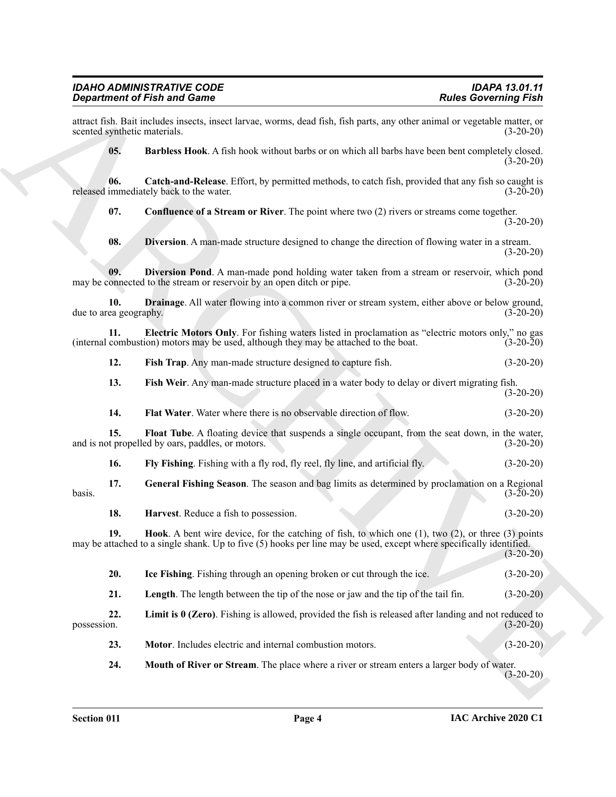#### *IDAHO ADMINISTRATIVE CODE IDAPA 13.01.11 Department of Fish and Game*

attract fish. Bait includes insects, insect larvae, worms, dead fish, fish parts, any other animal or vegetable matter, or scented synthetic materials.

<span id="page-3-1"></span><span id="page-3-0"></span>**05. Barbless Hook**. A fish hook without barbs or on which all barbs have been bent completely closed.  $(3-20-20)$ 

**06.** Catch-and-Release. Effort, by permitted methods, to catch fish, provided that any fish so caught is immediately back to the water. (3-20-20) released immediately back to the water.

<span id="page-3-2"></span>**07.** Confluence of a Stream or River. The point where two (2) rivers or streams come together. (3-20-20)

<span id="page-3-5"></span><span id="page-3-4"></span><span id="page-3-3"></span>**08. Diversion**. A man-made structure designed to change the direction of flowing water in a stream.  $(3-20-20)$ 

**09. Diversion Pond**. A man-made pond holding water taken from a stream or reservoir, which pond onnected to the stream or reservoir by an open ditch or pipe. (3-20-20) may be connected to the stream or reservoir by an open ditch or pipe.

**10. Drainage**. All water flowing into a common river or stream system, either above or below ground, due to area geography. (3-20-20)

**11. Electric Motors Only**. For fishing waters listed in proclamation as "electric motors only," no gas combustion) motors may be used, although they may be attached to the boat. (3-20-20) (internal combustion) motors may be used, although they may be attached to the boat.

<span id="page-3-7"></span><span id="page-3-6"></span>**12. Fish Trap**. Any man-made structure designed to capture fish. (3-20-20)

<span id="page-3-8"></span>**13. Fish Weir**. Any man-made structure placed in a water body to delay or divert migrating fish. (3-20-20)

<span id="page-3-10"></span><span id="page-3-9"></span>**14. Flat Water**. Water where there is no observable direction of flow. (3-20-20)

**15. Float Tube**. A floating device that suspends a single occupant, from the seat down, in the water, and is not propelled by oars, paddles, or motors. (3-20-20)

<span id="page-3-12"></span><span id="page-3-11"></span>**16. Fly Fishing**. Fishing with a fly rod, fly reel, fly line, and artificial fly. (3-20-20)

**17. General Fishing Season**. The season and bag limits as determined by proclamation on a Regional  $basis.$  (3-20-20)

<span id="page-3-14"></span><span id="page-3-13"></span>**18. Harvest**. Reduce a fish to possession. (3-20-20)

**Signal method in the Since Control in the United States Commute of the Since Commute Control in the Control in the Control in the Control in the Control in the Control in the Control in the Control in the Control in the 19. Hook**. A bent wire device, for the catching of fish, to which one (1), two (2), or three (3) points may be attached to a single shank. Up to five (5) hooks per line may be used, except where specifically identified.  $(3-20-20)$ 

<span id="page-3-16"></span><span id="page-3-15"></span>**20. Ice Fishing**. Fishing through an opening broken or cut through the ice. (3-20-20)

<span id="page-3-17"></span>**21.** Length. The length between the tip of the nose or jaw and the tip of the tail fin. (3-20-20)

**22. Limit is 0 (Zero)**. Fishing is allowed, provided the fish is released after landing and not reduced to possession. (3-20-20)

<span id="page-3-18"></span>**23. Motor**. Includes electric and internal combustion motors. (3-20-20)

<span id="page-3-19"></span>**24. Mouth of River or Stream**. The place where a river or stream enters a larger body of water. (3-20-20)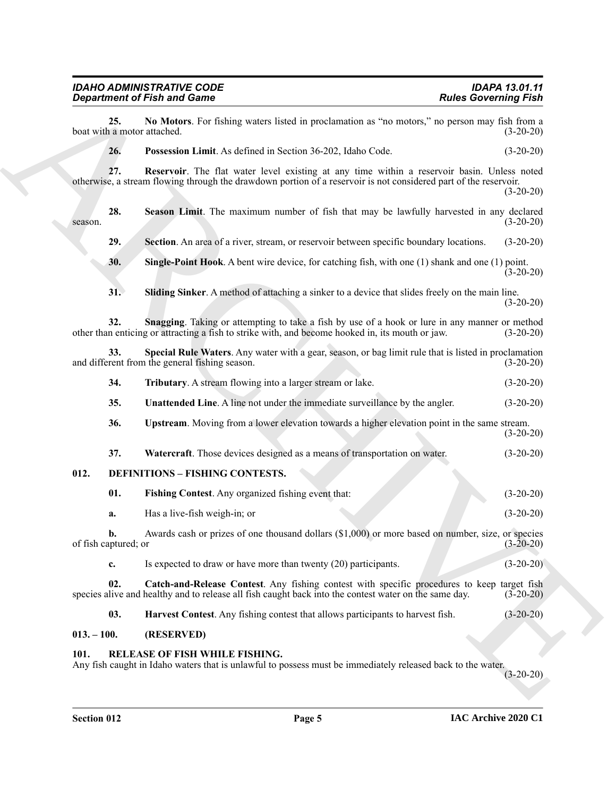### <span id="page-4-11"></span><span id="page-4-10"></span><span id="page-4-9"></span><span id="page-4-8"></span><span id="page-4-7"></span><span id="page-4-6"></span><span id="page-4-5"></span><span id="page-4-4"></span><span id="page-4-3"></span>*IDAHO ADMINISTRATIVE CODE IDAPA 13.01.11 Department of Fish and Game Rules Governing Fish*

| No Motors. For fishing waters listed in proclamation as "no motors," no person may fish from a<br>25.<br>boat with a motor attached.<br>26.<br>Possession Limit. As defined in Section 36-202, Idaho Code.<br>27.<br>Reservoir. The flat water level existing at any time within a reservoir basin. Unless noted<br>otherwise, a stream flowing through the drawdown portion of a reservoir is not considered part of the reservoir.<br>28.<br>Season Limit. The maximum number of fish that may be lawfully harvested in any declared<br>season.<br>29.<br>Section. An area of a river, stream, or reservoir between specific boundary locations.<br>30.<br><b>Single-Point Hook.</b> A bent wire device, for catching fish, with one $(1)$ shank and one $(1)$ point.<br>31.<br>Sliding Sinker. A method of attaching a sinker to a device that slides freely on the main line.<br>Snagging. Taking or attempting to take a fish by use of a hook or lure in any manner or method<br>32.<br>other than enticing or attracting a fish to strike with, and become hooked in, its mouth or jaw.<br>33.<br>Special Rule Waters. Any water with a gear, season, or bag limit rule that is listed in proclamation<br>and different from the general fishing season.<br>34.<br>Tributary. A stream flowing into a larger stream or lake.<br>35.<br>Unattended Line. A line not under the immediate surveillance by the angler.<br>Upstream. Moving from a lower elevation towards a higher elevation point in the same stream.<br>36.<br>37.<br>Watercraft. Those devices designed as a means of transportation on water.<br>012.<br><b>DEFINITIONS - FISHING CONTESTS.</b><br>01.<br>Fishing Contest. Any organized fishing event that:<br>Has a live-fish weigh-in; or<br>a.<br>Awards cash or prizes of one thousand dollars (\$1,000) or more based on number, size, or species<br>b.<br>of fish captured; or<br>Is expected to draw or have more than twenty (20) participants.<br>c.<br>02.<br>Catch-and-Release Contest. Any fishing contest with specific procedures to keep target fish<br>species alive and healthy and to release all fish caught back into the contest water on the same day.<br>03.<br>Harvest Contest. Any fishing contest that allows participants to harvest fish.<br>$013. - 100.$<br>(RESERVED)<br>RELEASE OF FISH WHILE FISHING.<br>101.<br>Any fish caught in Idaho waters that is unlawful to possess must be immediately released back to the water. | <b>Department of Fish and Game</b> | <b>Rules Governing Fish</b> |
|---------------------------------------------------------------------------------------------------------------------------------------------------------------------------------------------------------------------------------------------------------------------------------------------------------------------------------------------------------------------------------------------------------------------------------------------------------------------------------------------------------------------------------------------------------------------------------------------------------------------------------------------------------------------------------------------------------------------------------------------------------------------------------------------------------------------------------------------------------------------------------------------------------------------------------------------------------------------------------------------------------------------------------------------------------------------------------------------------------------------------------------------------------------------------------------------------------------------------------------------------------------------------------------------------------------------------------------------------------------------------------------------------------------------------------------------------------------------------------------------------------------------------------------------------------------------------------------------------------------------------------------------------------------------------------------------------------------------------------------------------------------------------------------------------------------------------------------------------------------------------------------------------------------------------------------------------------------------------------------------------------------------------------------------------------------------------------------------------------------------------------------------------------------------------------------------------------------------------------------------------------------------------------------------------------------------------------------------------------------------------------------------------------------------------------------------------------------------------------------|------------------------------------|-----------------------------|
|                                                                                                                                                                                                                                                                                                                                                                                                                                                                                                                                                                                                                                                                                                                                                                                                                                                                                                                                                                                                                                                                                                                                                                                                                                                                                                                                                                                                                                                                                                                                                                                                                                                                                                                                                                                                                                                                                                                                                                                                                                                                                                                                                                                                                                                                                                                                                                                                                                                                                       |                                    | $(3-20-20)$                 |
|                                                                                                                                                                                                                                                                                                                                                                                                                                                                                                                                                                                                                                                                                                                                                                                                                                                                                                                                                                                                                                                                                                                                                                                                                                                                                                                                                                                                                                                                                                                                                                                                                                                                                                                                                                                                                                                                                                                                                                                                                                                                                                                                                                                                                                                                                                                                                                                                                                                                                       |                                    | $(3-20-20)$                 |
|                                                                                                                                                                                                                                                                                                                                                                                                                                                                                                                                                                                                                                                                                                                                                                                                                                                                                                                                                                                                                                                                                                                                                                                                                                                                                                                                                                                                                                                                                                                                                                                                                                                                                                                                                                                                                                                                                                                                                                                                                                                                                                                                                                                                                                                                                                                                                                                                                                                                                       |                                    | $(3-20-20)$                 |
|                                                                                                                                                                                                                                                                                                                                                                                                                                                                                                                                                                                                                                                                                                                                                                                                                                                                                                                                                                                                                                                                                                                                                                                                                                                                                                                                                                                                                                                                                                                                                                                                                                                                                                                                                                                                                                                                                                                                                                                                                                                                                                                                                                                                                                                                                                                                                                                                                                                                                       |                                    | $(3-20-20)$                 |
|                                                                                                                                                                                                                                                                                                                                                                                                                                                                                                                                                                                                                                                                                                                                                                                                                                                                                                                                                                                                                                                                                                                                                                                                                                                                                                                                                                                                                                                                                                                                                                                                                                                                                                                                                                                                                                                                                                                                                                                                                                                                                                                                                                                                                                                                                                                                                                                                                                                                                       |                                    | $(3-20-20)$                 |
|                                                                                                                                                                                                                                                                                                                                                                                                                                                                                                                                                                                                                                                                                                                                                                                                                                                                                                                                                                                                                                                                                                                                                                                                                                                                                                                                                                                                                                                                                                                                                                                                                                                                                                                                                                                                                                                                                                                                                                                                                                                                                                                                                                                                                                                                                                                                                                                                                                                                                       |                                    | $(3-20-20)$                 |
|                                                                                                                                                                                                                                                                                                                                                                                                                                                                                                                                                                                                                                                                                                                                                                                                                                                                                                                                                                                                                                                                                                                                                                                                                                                                                                                                                                                                                                                                                                                                                                                                                                                                                                                                                                                                                                                                                                                                                                                                                                                                                                                                                                                                                                                                                                                                                                                                                                                                                       |                                    | $(3-20-20)$                 |
|                                                                                                                                                                                                                                                                                                                                                                                                                                                                                                                                                                                                                                                                                                                                                                                                                                                                                                                                                                                                                                                                                                                                                                                                                                                                                                                                                                                                                                                                                                                                                                                                                                                                                                                                                                                                                                                                                                                                                                                                                                                                                                                                                                                                                                                                                                                                                                                                                                                                                       |                                    | $(3-20-20)$                 |
|                                                                                                                                                                                                                                                                                                                                                                                                                                                                                                                                                                                                                                                                                                                                                                                                                                                                                                                                                                                                                                                                                                                                                                                                                                                                                                                                                                                                                                                                                                                                                                                                                                                                                                                                                                                                                                                                                                                                                                                                                                                                                                                                                                                                                                                                                                                                                                                                                                                                                       |                                    | $(3-20-20)$                 |
|                                                                                                                                                                                                                                                                                                                                                                                                                                                                                                                                                                                                                                                                                                                                                                                                                                                                                                                                                                                                                                                                                                                                                                                                                                                                                                                                                                                                                                                                                                                                                                                                                                                                                                                                                                                                                                                                                                                                                                                                                                                                                                                                                                                                                                                                                                                                                                                                                                                                                       |                                    | $(3-20-20)$                 |
|                                                                                                                                                                                                                                                                                                                                                                                                                                                                                                                                                                                                                                                                                                                                                                                                                                                                                                                                                                                                                                                                                                                                                                                                                                                                                                                                                                                                                                                                                                                                                                                                                                                                                                                                                                                                                                                                                                                                                                                                                                                                                                                                                                                                                                                                                                                                                                                                                                                                                       |                                    | $(3-20-20)$                 |
|                                                                                                                                                                                                                                                                                                                                                                                                                                                                                                                                                                                                                                                                                                                                                                                                                                                                                                                                                                                                                                                                                                                                                                                                                                                                                                                                                                                                                                                                                                                                                                                                                                                                                                                                                                                                                                                                                                                                                                                                                                                                                                                                                                                                                                                                                                                                                                                                                                                                                       |                                    | $(3-20-20)$                 |
|                                                                                                                                                                                                                                                                                                                                                                                                                                                                                                                                                                                                                                                                                                                                                                                                                                                                                                                                                                                                                                                                                                                                                                                                                                                                                                                                                                                                                                                                                                                                                                                                                                                                                                                                                                                                                                                                                                                                                                                                                                                                                                                                                                                                                                                                                                                                                                                                                                                                                       |                                    | $(3-20-20)$                 |
|                                                                                                                                                                                                                                                                                                                                                                                                                                                                                                                                                                                                                                                                                                                                                                                                                                                                                                                                                                                                                                                                                                                                                                                                                                                                                                                                                                                                                                                                                                                                                                                                                                                                                                                                                                                                                                                                                                                                                                                                                                                                                                                                                                                                                                                                                                                                                                                                                                                                                       |                                    |                             |
|                                                                                                                                                                                                                                                                                                                                                                                                                                                                                                                                                                                                                                                                                                                                                                                                                                                                                                                                                                                                                                                                                                                                                                                                                                                                                                                                                                                                                                                                                                                                                                                                                                                                                                                                                                                                                                                                                                                                                                                                                                                                                                                                                                                                                                                                                                                                                                                                                                                                                       |                                    | $(3-20-20)$                 |
|                                                                                                                                                                                                                                                                                                                                                                                                                                                                                                                                                                                                                                                                                                                                                                                                                                                                                                                                                                                                                                                                                                                                                                                                                                                                                                                                                                                                                                                                                                                                                                                                                                                                                                                                                                                                                                                                                                                                                                                                                                                                                                                                                                                                                                                                                                                                                                                                                                                                                       |                                    | $(3-20-20)$                 |
|                                                                                                                                                                                                                                                                                                                                                                                                                                                                                                                                                                                                                                                                                                                                                                                                                                                                                                                                                                                                                                                                                                                                                                                                                                                                                                                                                                                                                                                                                                                                                                                                                                                                                                                                                                                                                                                                                                                                                                                                                                                                                                                                                                                                                                                                                                                                                                                                                                                                                       |                                    | $(3-20-20)$                 |
|                                                                                                                                                                                                                                                                                                                                                                                                                                                                                                                                                                                                                                                                                                                                                                                                                                                                                                                                                                                                                                                                                                                                                                                                                                                                                                                                                                                                                                                                                                                                                                                                                                                                                                                                                                                                                                                                                                                                                                                                                                                                                                                                                                                                                                                                                                                                                                                                                                                                                       |                                    | $(3-20-20)$                 |
|                                                                                                                                                                                                                                                                                                                                                                                                                                                                                                                                                                                                                                                                                                                                                                                                                                                                                                                                                                                                                                                                                                                                                                                                                                                                                                                                                                                                                                                                                                                                                                                                                                                                                                                                                                                                                                                                                                                                                                                                                                                                                                                                                                                                                                                                                                                                                                                                                                                                                       |                                    | $(3-20-20)$                 |
|                                                                                                                                                                                                                                                                                                                                                                                                                                                                                                                                                                                                                                                                                                                                                                                                                                                                                                                                                                                                                                                                                                                                                                                                                                                                                                                                                                                                                                                                                                                                                                                                                                                                                                                                                                                                                                                                                                                                                                                                                                                                                                                                                                                                                                                                                                                                                                                                                                                                                       |                                    | $(3-20-20)$                 |
|                                                                                                                                                                                                                                                                                                                                                                                                                                                                                                                                                                                                                                                                                                                                                                                                                                                                                                                                                                                                                                                                                                                                                                                                                                                                                                                                                                                                                                                                                                                                                                                                                                                                                                                                                                                                                                                                                                                                                                                                                                                                                                                                                                                                                                                                                                                                                                                                                                                                                       |                                    |                             |
|                                                                                                                                                                                                                                                                                                                                                                                                                                                                                                                                                                                                                                                                                                                                                                                                                                                                                                                                                                                                                                                                                                                                                                                                                                                                                                                                                                                                                                                                                                                                                                                                                                                                                                                                                                                                                                                                                                                                                                                                                                                                                                                                                                                                                                                                                                                                                                                                                                                                                       |                                    | $(3-20-20)$                 |

#### <span id="page-4-20"></span><span id="page-4-19"></span><span id="page-4-18"></span><span id="page-4-17"></span><span id="page-4-16"></span><span id="page-4-15"></span><span id="page-4-14"></span><span id="page-4-13"></span><span id="page-4-12"></span><span id="page-4-2"></span><span id="page-4-1"></span><span id="page-4-0"></span>**101. RELEASE OF FISH WHILE FISHING.**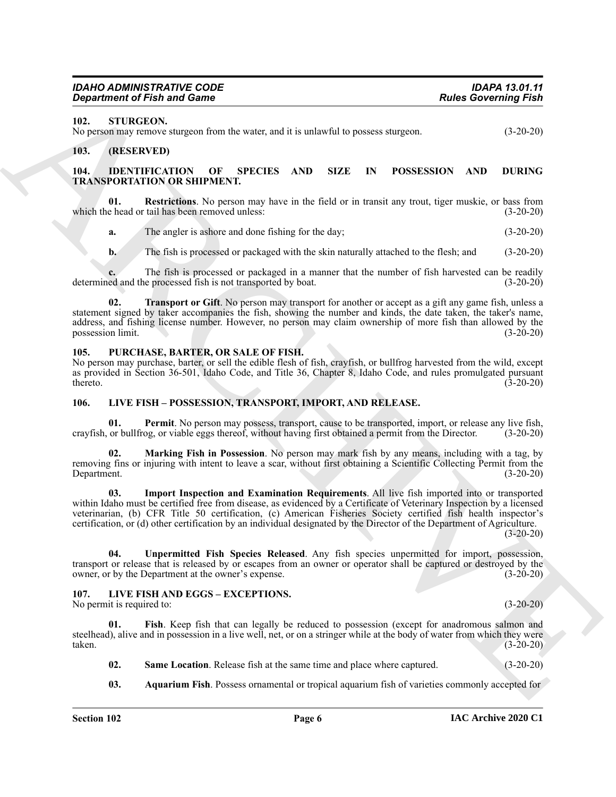#### <span id="page-5-19"></span><span id="page-5-0"></span>**102. STURGEON.**

No person may remove sturgeon from the water, and it is unlawful to possess sturgeon. (3-20-20)

#### <span id="page-5-6"></span><span id="page-5-1"></span>**103. (RESERVED)**

#### <span id="page-5-2"></span>**104. IDENTIFICATION OF SPECIES AND SIZE IN POSSESSION AND DURING TRANSPORTATION OR SHIPMENT.**

**01. Restrictions**. No person may have in the field or in transit any trout, tiger muskie, or bass from which the head or tail has been removed unless: (3-20-20)

<span id="page-5-7"></span>**a.** The angler is ashore and done fishing for the day; (3-20-20)

<span id="page-5-8"></span>**b.** The fish is processed or packaged with the skin naturally attached to the flesh; and (3-20-20)

**c.** The fish is processed or packaged in a manner that the number of fish harvested can be readily ed and the processed fish is not transported by boat. (3-20-20) determined and the processed fish is not transported by boat.

**02. Transport or Gift**. No person may transport for another or accept as a gift any game fish, unless a statement signed by taker accompanies the fish, showing the number and kinds, the date taken, the taker's name, address, and fishing license number. However, no person may claim ownership of more fish than allowed by the possession limit. (3-20-20) possession limit.

#### <span id="page-5-18"></span><span id="page-5-3"></span>**105. PURCHASE, BARTER, OR SALE OF FISH.**

No person may purchase, barter, or sell the edible flesh of fish, crayfish, or bullfrog harvested from the wild, except as provided in Section 36-501, Idaho Code, and Title 36, Chapter 8, Idaho Code, and rules promulgated pursuant  $(3-20-20)$ 

#### <span id="page-5-9"></span><span id="page-5-4"></span>**106. LIVE FISH – POSSESSION, TRANSPORT, IMPORT, AND RELEASE.**

<span id="page-5-12"></span>Permit. No person may possess, transport, cause to be transported, import, or release any live fish, crayfish, or bullfrog, or viable eggs thereof, without having first obtained a permit from the Director. (3-20-20)

<span id="page-5-11"></span><span id="page-5-10"></span>**02. Marking Fish in Possession**. No person may mark fish by any means, including with a tag, by removing fins or injuring with intent to leave a scar, without first obtaining a Scientific Collecting Permit from the Department. (3-20-20)

**Equivalent of Finite and General Control is a set of the Control of Pietro Control of Finite and Set of Control of Finite and Set of Control of Control of Control in the Control of Control of Control of Control in the Co 03. Import Inspection and Examination Requirements**. All live fish imported into or transported within Idaho must be certified free from disease, as evidenced by a Certificate of Veterinary Inspection by a licensed veterinarian, (b) CFR Title 50 certification, (c) American Fisheries Society certified fish health inspector's certification, or (d) other certification by an individual designated by the Director of the Department of Agriculture.

 $(3-20-20)$ 

<span id="page-5-13"></span>**04. Unpermitted Fish Species Released**. Any fish species unpermitted for import, possession, transport or release that is released by or escapes from an owner or operator shall be captured or destroyed by the owner, or by the Department at the owner's expense. owner, or by the Department at the owner's expense.

#### <span id="page-5-14"></span><span id="page-5-5"></span>**107. LIVE FISH AND EGGS – EXCEPTIONS.**

No permit is required to: (3-20-20)

**01. Fish**. Keep fish that can legally be reduced to possession (except for anadromous salmon and steelhead), alive and in possession in a live well, net, or on a stringer while at the body of water from which they were taken. taken. (3-20-20)

<span id="page-5-17"></span><span id="page-5-16"></span>**02. Same Location**. Release fish at the same time and place where captured. (3-20-20)

<span id="page-5-15"></span>**03. Aquarium Fish**. Possess ornamental or tropical aquarium fish of varieties commonly accepted for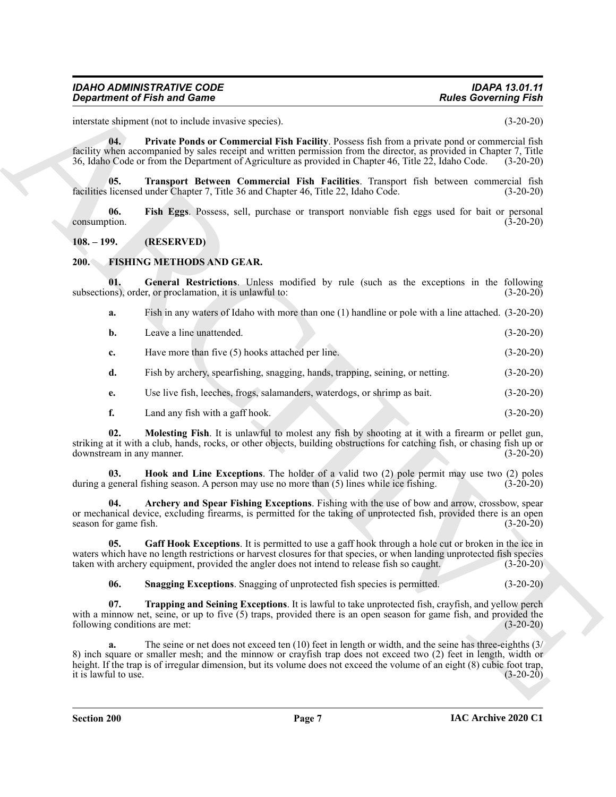#### *IDAHO ADMINISTRATIVE CODE IDAPA 13.01.11 Department of Fish and Game*

interstate shipment (not to include invasive species). (3-20-20)

<span id="page-6-11"></span>**04. Private Ponds or Commercial Fish Facility**. Possess fish from a private pond or commercial fish facility when accompanied by sales receipt and written permission from the director, as provided in Chapter 7, Title 36, Idaho Code or from the Department of Agriculture as provided in Chapter 46, Title 22, Idaho Code. (3-20-20)

<span id="page-6-12"></span>**05. Transport Between Commercial Fish Facilities**. Transport fish between commercial fish facilities licensed under Chapter 7, Title 36 and Chapter 46, Title 22, Idaho Code. (3-20-20)

<span id="page-6-10"></span>**06. Fish Eggs**. Possess, sell, purchase or transport nonviable fish eggs used for bait or personal consumption.

#### <span id="page-6-0"></span>**108. – 199. (RESERVED)**

#### <span id="page-6-2"></span><span id="page-6-1"></span>**200. FISHING METHODS AND GEAR.**

**01. General Restrictions**. Unless modified by rule (such as the exceptions in the following subsections), order, or proclamation, it is unlawful to: (3-20-20)

<span id="page-6-5"></span>**a.** Fish in any waters of Idaho with more than one (1) handline or pole with a line attached. (3-20-20)

| <b>b.</b> | Leave a line unattended. |  | $(3-20-20)$ |
|-----------|--------------------------|--|-------------|
|-----------|--------------------------|--|-------------|

**c.** Have more than five (5) hooks attached per line. (3-20-20)

**d.** Fish by archery, spearfishing, snagging, hands, trapping, seining, or netting. (3-20-20)

**e.** Use live fish, leeches, frogs, salamanders, waterdogs, or shrimp as bait. (3-20-20)

<span id="page-6-7"></span><span id="page-6-6"></span>**f.** Land any fish with a gaff hook. (3-20-20)

**02. Molesting Fish**. It is unlawful to molest any fish by shooting at it with a firearm or pellet gun, striking at it with a club, hands, rocks, or other objects, building obstructions for catching fish, or chasing fish up or downstream in any manner. (3-20-20)

**03. Hook and Line Exceptions**. The holder of a valid two (2) pole permit may use two (2) poles general fishing season. A person may use no more than (5) lines while ice fishing. (3-20-20) during a general fishing season. A person may use no more than  $(5)$  lines while ice fishing.

<span id="page-6-3"></span>**04. Archery and Spear Fishing Exceptions**. Fishing with the use of bow and arrow, crossbow, spear or mechanical device, excluding firearms, is permitted for the taking of unprotected fish, provided there is an open season for game fish.  $(3-20-20)$ 

**05. Gaff Hook Exceptions**. It is permitted to use a gaff hook through a hole cut or broken in the ice in waters which have no length restrictions or harvest closures for that species, or when landing unprotected fish species taken with archery equipment, provided the angler does not intend to release fish so caught. (3-20-20)

<span id="page-6-9"></span><span id="page-6-8"></span><span id="page-6-4"></span>**06. Snagging Exceptions**. Snagging of unprotected fish species is permitted. (3-20-20)

**07. Trapping and Seining Exceptions**. It is lawful to take unprotected fish, crayfish, and yellow perch with a minnow net, seine, or up to five (5) traps, provided there is an open season for game fish, and provided the following conditions are met: (3-20-20)

**Consideration of Finite and General Constraints (a) and the Constraints (a) and the Constraints (a) and the Constraints (a) and the Constraints (a) and the Constraints (a) and the Constraints (a) and the Constraints (a) a.** The seine or net does not exceed ten (10) feet in length or width, and the seine has three-eighths (3/ 8) inch square or smaller mesh; and the minnow or crayfish trap does not exceed two (2) feet in length, width or height. If the trap is of irregular dimension, but its volume does not exceed the volume of an eight (8) cubic foot trap, it is lawful to use. it is lawful to use.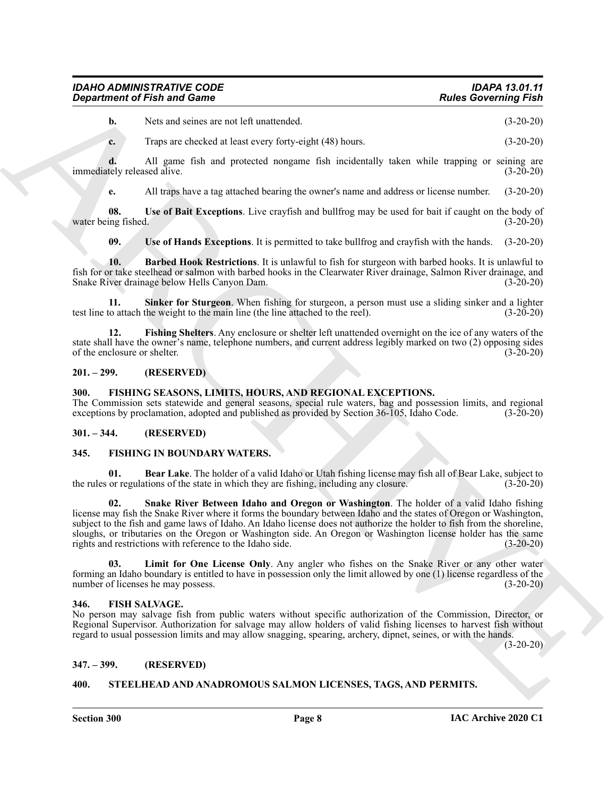# *IDAHO ADMINISTRATIVE CODE IDAPA 13.01.11* **Department of Fish and Game**

**b.** Nets and seines are not left unattended. (3-20-20)

**c.** Traps are checked at least every forty-eight (48) hours. (3-20-20)

**d.** All game fish and protected nongame fish incidentally taken while trapping or seining are immediately released alive. (3-20-20)

<span id="page-7-14"></span>**e.** All traps have a tag attached bearing the owner's name and address or license number. (3-20-20)

**08.** Use of Bait Exceptions. Live crayfish and bullfrog may be used for bait if caught on the body of ing fished. (3-20-20) water being fished.

<span id="page-7-15"></span><span id="page-7-13"></span><span id="page-7-11"></span>**09. Use of Hands Exceptions**. It is permitted to take bullfrog and crayfish with the hands. (3-20-20)

**10. Barbed Hook Restrictions**. It is unlawful to fish for sturgeon with barbed hooks. It is unlawful to fish for or take steelhead or salmon with barbed hooks in the Clearwater River drainage, Salmon River drainage, and<br>
Snake River drainage below Hells Canyon Dam. Snake River drainage below Hells Canyon Dam.

**11. Sinker for Sturgeon**. When fishing for sturgeon, a person must use a sliding sinker and a lighter test line to attach the weight to the main line (the line attached to the reel). (3-20-20)

<span id="page-7-12"></span>**12. Fishing Shelters**. Any enclosure or shelter left unattended overnight on the ice of any waters of the state shall have the owner's name, telephone numbers, and current address legibly marked on two (2) opposing sides of the enclosure or shelter. (3-20-20)

#### <span id="page-7-0"></span>**201. – 299. (RESERVED)**

#### <span id="page-7-16"></span><span id="page-7-1"></span>**300. FISHING SEASONS, LIMITS, HOURS, AND REGIONAL EXCEPTIONS.**

The Commission sets statewide and general seasons, special rule waters, bag and possession limits, and regional exceptions by proclamation, adopted and published as provided by Section  $36-105$ , Idaho Code. ( $3-20-20$ )

#### <span id="page-7-2"></span>**301. – 344. (RESERVED)**

#### <span id="page-7-8"></span><span id="page-7-3"></span>**345. FISHING IN BOUNDARY WATERS.**

<span id="page-7-17"></span><span id="page-7-9"></span>**01. Bear Lake**. The holder of a valid Idaho or Utah fishing license may fish all of Bear Lake, subject to or regulations of the state in which they are fishing, including any closure. (3-20-20) the rules or regulations of the state in which they are fishing, including any closure.

**Experiment of Finit and General Control velocity and the specific state of the specific state of the specific state of the specific state of the specific state of the specific state of the specific state of the specific 02. Snake River Between Idaho and Oregon or Washington**. The holder of a valid Idaho fishing license may fish the Snake River where it forms the boundary between Idaho and the states of Oregon or Washington, subject to the fish and game laws of Idaho. An Idaho license does not authorize the holder to fish from the shoreline, sloughs, or tributaries on the Oregon or Washington side. An Oregon or Washington license holder has the same rights and restrictions with reference to the Idaho side. (3-20-20)

<span id="page-7-10"></span>**03. Limit for One License Only**. Any angler who fishes on the Snake River or any other water forming an Idaho boundary is entitled to have in possession only the limit allowed by one (1) license regardless of the number of licenses he may possess. (3-20-20)

#### <span id="page-7-7"></span><span id="page-7-4"></span>**346. FISH SALVAGE.**

No person may salvage fish from public waters without specific authorization of the Commission, Director, or Regional Supervisor. Authorization for salvage may allow holders of valid fishing licenses to harvest fish without regard to usual possession limits and may allow snagging, spearing, archery, dipnet, seines, or with the hands.

(3-20-20)

#### <span id="page-7-5"></span>**347. – 399. (RESERVED)**

#### <span id="page-7-18"></span><span id="page-7-6"></span>**400. STEELHEAD AND ANADROMOUS SALMON LICENSES, TAGS, AND PERMITS.**

**Section 300 Page 8**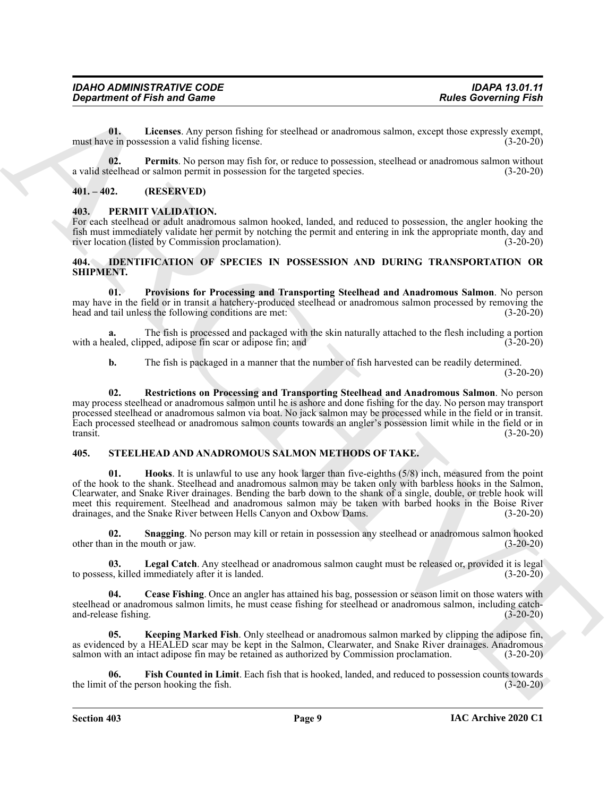<span id="page-8-8"></span>**01. Licenses**. Any person fishing for steelhead or anadromous salmon, except those expressly exempt, must have in possession a valid fishing license. (3-20-20)

<span id="page-8-9"></span>**02. Permits**. No person may fish for, or reduce to possession, steelhead or anadromous salmon without a valid steelhead or salmon permit in possession for the targeted species. (3-20-20)

#### <span id="page-8-0"></span>**401. – 402. (RESERVED)**

#### <span id="page-8-7"></span><span id="page-8-1"></span>**403. PERMIT VALIDATION.**

For each steelhead or adult anadromous salmon hooked, landed, and reduced to possession, the angler hooking the fish must immediately validate her permit by notching the permit and entering in ink the appropriate month, day and river location (listed by Commission proclamation). (3-20-20) river location (listed by Commission proclamation).

#### <span id="page-8-4"></span><span id="page-8-2"></span>**404. IDENTIFICATION OF SPECIES IN POSSESSION AND DURING TRANSPORTATION OR SHIPMENT.**

<span id="page-8-5"></span>**01. Provisions for Processing and Transporting Steelhead and Anadromous Salmon**. No person may have in the field or in transit a hatchery-produced steelhead or anadromous salmon processed by removing the head and tail unless the following conditions are met: (3-20-20)

**a.** The fish is processed and packaged with the skin naturally attached to the flesh including a portion caled, clipped, adipose fin scar or adipose fin; and (3-20-20) with a healed, clipped, adipose fin scar or adipose fin; and

<span id="page-8-6"></span>**b.** The fish is packaged in a manner that the number of fish harvested can be readily determined.

(3-20-20)

**02. Restrictions on Processing and Transporting Steelhead and Anadromous Salmon**. No person may process steelhead or anadromous salmon until he is ashore and done fishing for the day. No person may transport processed steelhead or anadromous salmon via boat. No jack salmon may be processed while in the field or in transit. Each processed steelhead or anadromous salmon counts towards an angler's possession limit while in the field or in transit. (3-20-20)

#### <span id="page-8-13"></span><span id="page-8-10"></span><span id="page-8-3"></span>**405. STEELHEAD AND ANADROMOUS SALMON METHODS OF TAKE.**

**Experiment of Finit and General Constraints: For the Constraints: For the Constraints:**  $\frac{1}{2}$  and the constraints and the constraints are experiment in the constraints are experiment in the constraints are experi **01. Hooks**. It is unlawful to use any hook larger than five-eighths (5/8) inch, measured from the point of the hook to the shank. Steelhead and anadromous salmon may be taken only with barbless hooks in the Salmon, Clearwater, and Snake River drainages. Bending the barb down to the shank of a single, double, or treble hook will meet this requirement. Steelhead and anadromous salmon may be taken with barbed hooks in the Boise River drainages, and the Snake River between Hells Canyon and Oxbow Dams. (3-20-20) drainages, and the Snake River between Hells Canyon and Oxbow Dams.

<span id="page-8-16"></span>**02. Snagging**. No person may kill or retain in possession any steelhead or anadromous salmon hooked other than in the mouth or jaw. (3-20-20)

<span id="page-8-15"></span>**03.** Legal Catch. Any steelhead or anadromous salmon caught must be released or, provided it is legal ss, killed immediately after it is landed. (3-20-20) to possess, killed immediately after it is landed.

<span id="page-8-11"></span>**Cease Fishing**. Once an angler has attained his bag, possession or season limit on those waters with steelhead or anadromous salmon limits, he must cease fishing for steelhead or anadromous salmon, including catch-<br>(3-20-20)<br>(3-20-20) and-release fishing.

<span id="page-8-14"></span>**05. Keeping Marked Fish**. Only steelhead or anadromous salmon marked by clipping the adipose fin, as evidenced by a HEALED scar may be kept in the Salmon, Clearwater, and Snake River drainages. Anadromous salmon with an intact adipose fin may be retained as authorized by Commission proclamation. (3-20-20)

<span id="page-8-12"></span>**06. Fish Counted in Limit**. Each fish that is hooked, landed, and reduced to possession counts towards the limit of the person hooking the fish. (3-20-20)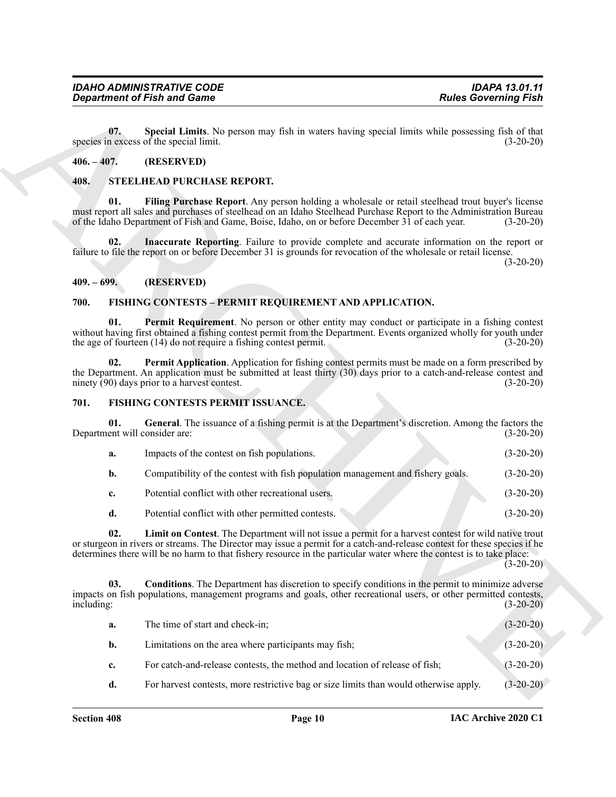#### <span id="page-9-12"></span><span id="page-9-0"></span>**406. – 407. (RESERVED)**

#### <span id="page-9-14"></span><span id="page-9-13"></span><span id="page-9-1"></span>**408. STEELHEAD PURCHASE REPORT.**

#### <span id="page-9-15"></span><span id="page-9-2"></span>**409. – 699. (RESERVED)**

#### <span id="page-9-7"></span><span id="page-9-5"></span><span id="page-9-3"></span>**700. FISHING CONTESTS – PERMIT REQUIREMENT AND APPLICATION.**

#### <span id="page-9-8"></span><span id="page-9-6"></span><span id="page-9-4"></span>**701. FISHING CONTESTS PERMIT ISSUANCE.**

<span id="page-9-11"></span><span id="page-9-10"></span><span id="page-9-9"></span>

| а. | Impacts of the contest on fish populations.                                     | $(3-20-20)$ |
|----|---------------------------------------------------------------------------------|-------------|
| b. | Compatibility of the contest with fish population management and fishery goals. | $(3-20-20)$ |
| c. | Potential conflict with other recreational users.                               | $(3-20-20)$ |
|    | Potential conflict with other permitted contests.                               | $(3-20-20)$ |

|                                      | <b>Department of Fish and Game</b>                                                                                                                                                                                                                                                                                                                         | <b>Rules Governing Fish</b> |
|--------------------------------------|------------------------------------------------------------------------------------------------------------------------------------------------------------------------------------------------------------------------------------------------------------------------------------------------------------------------------------------------------------|-----------------------------|
| 07.                                  | Special Limits. No person may fish in waters having special limits while possessing fish of that<br>species in excess of the special limit.                                                                                                                                                                                                                | $(3-20-20)$                 |
| $406. - 407.$                        | (RESERVED)                                                                                                                                                                                                                                                                                                                                                 |                             |
| 408.                                 | STEELHEAD PURCHASE REPORT.                                                                                                                                                                                                                                                                                                                                 |                             |
| 01.                                  | Filing Purchase Report. Any person holding a wholesale or retail steelhead trout buyer's license<br>must report all sales and purchases of steelhead on an Idaho Steelhead Purchase Report to the Administration Bureau<br>of the Idaho Department of Fish and Game, Boise, Idaho, on or before December 31 of each year.                                  | $(3-20-20)$                 |
| 02.                                  | Inaccurate Reporting. Failure to provide complete and accurate information on the report or<br>failure to file the report on or before December 31 is grounds for revocation of the wholesale or retail license.                                                                                                                                           | $(3-20-20)$                 |
| $409. - 699.$                        | (RESERVED)                                                                                                                                                                                                                                                                                                                                                 |                             |
| 700.                                 | FISHING CONTESTS - PERMIT REQUIREMENT AND APPLICATION.                                                                                                                                                                                                                                                                                                     |                             |
| 01.                                  | <b>Permit Requirement</b> . No person or other entity may conduct or participate in a fishing contest<br>without having first obtained a fishing contest permit from the Department. Events organized wholly for youth under<br>the age of fourteen (14) do not require a fishing contest permit.                                                          | $(3-20-20)$                 |
| 02.                                  | Permit Application. Application for fishing contest permits must be made on a form prescribed by<br>the Department. An application must be submitted at least thirty (30) days prior to a catch-and-release contest and<br>ninety (90) days prior to a harvest contest.                                                                                    | $(3-20-20)$                 |
| 701.                                 | FISHING CONTESTS PERMIT ISSUANCE.                                                                                                                                                                                                                                                                                                                          |                             |
| 01.<br>Department will consider are: | General. The issuance of a fishing permit is at the Department's discretion. Among the factors the                                                                                                                                                                                                                                                         | $(3-20-20)$                 |
| a.                                   | Impacts of the contest on fish populations.                                                                                                                                                                                                                                                                                                                | $(3-20-20)$                 |
| $\mathbf{b}$ .                       | Compatibility of the contest with fish population management and fishery goals.                                                                                                                                                                                                                                                                            | $(3-20-20)$                 |
| c.                                   | Potential conflict with other recreational users.                                                                                                                                                                                                                                                                                                          | $(3-20-20)$                 |
| d.                                   | Potential conflict with other permitted contests.                                                                                                                                                                                                                                                                                                          | $(3-20-20)$                 |
| 02.                                  | Limit on Contest. The Department will not issue a permit for a harvest contest for wild native trout<br>or sturgeon in rivers or streams. The Director may issue a permit for a catch-and-release contest for these species if he<br>determines there will be no harm to that fishery resource in the particular water where the contest is to take place: | $(3-20-20)$                 |
| 03.<br>including:                    | <b>Conditions.</b> The Department has discretion to specify conditions in the permit to minimize adverse<br>impacts on fish populations, management programs and goals, other recreational users, or other permitted contests,                                                                                                                             | $(3-20-20)$                 |
| a.                                   | The time of start and check-in;                                                                                                                                                                                                                                                                                                                            | $(3-20-20)$                 |
| b.                                   | Limitations on the area where participants may fish;                                                                                                                                                                                                                                                                                                       | $(3-20-20)$                 |
|                                      |                                                                                                                                                                                                                                                                                                                                                            |                             |
| c.                                   | For catch-and-release contests, the method and location of release of fish;                                                                                                                                                                                                                                                                                | $(3-20-20)$                 |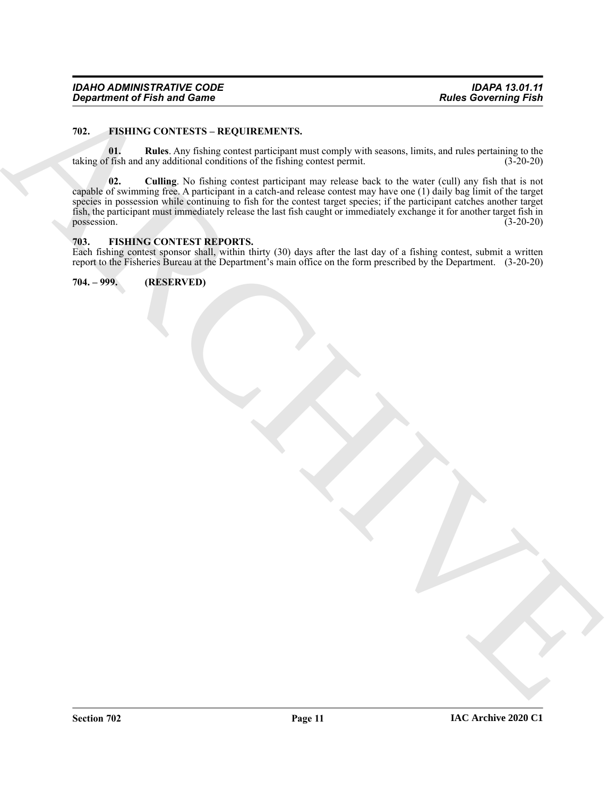#### <span id="page-10-4"></span><span id="page-10-0"></span>**702. FISHING CONTESTS – REQUIREMENTS.**

<span id="page-10-6"></span><span id="page-10-5"></span>**01. Rules**. Any fishing contest participant must comply with seasons, limits, and rules pertaining to the taking of fish and any additional conditions of the fishing contest permit.  $(3-20-20)$ 

*From the Third and Control Section 2014*<br>
202. **CONDUCTIVE SCOULE CONTROL** TV. The control of the specific state is the specific state of the specific state of the specific state of the specific state of the specific sta **02. Culling**. No fishing contest participant may release back to the water (cull) any fish that is not capable of swimming free. A participant in a catch-and release contest may have one (1) daily bag limit of the target species in possession while continuing to fish for the contest target species; if the participant catches another target fish, the participant must immediately release the last fish caught or immediately exchange it for another target fish in  $possession.$  (3-20-20)

#### <span id="page-10-3"></span><span id="page-10-1"></span>**703. FISHING CONTEST REPORTS.**

Each fishing contest sponsor shall, within thirty (30) days after the last day of a fishing contest, submit a written report to the Fisheries Bureau at the Department's main office on the form prescribed by the Department. (3-20-20)

<span id="page-10-2"></span>**704. – 999. (RESERVED)**